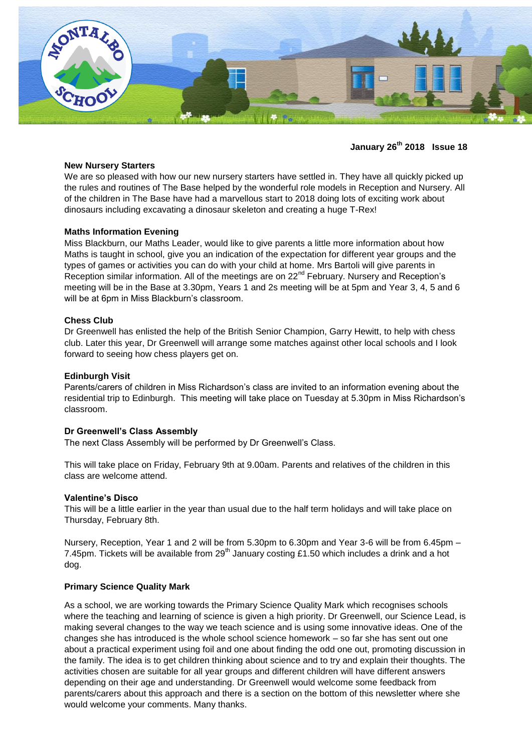

**January 26th 2018 Issue 18**

#### **New Nursery Starters**

We are so pleased with how our new nursery starters have settled in. They have all quickly picked up the rules and routines of The Base helped by the wonderful role models in Reception and Nursery. All of the children in The Base have had a marvellous start to 2018 doing lots of exciting work about dinosaurs including excavating a dinosaur skeleton and creating a huge T-Rex!

# **Maths Information Evening**

Miss Blackburn, our Maths Leader, would like to give parents a little more information about how Maths is taught in school, give you an indication of the expectation for different year groups and the types of games or activities you can do with your child at home. Mrs Bartoli will give parents in Reception similar information. All of the meetings are on 22<sup>nd</sup> February. Nursery and Reception's meeting will be in the Base at 3.30pm, Years 1 and 2s meeting will be at 5pm and Year 3, 4, 5 and 6 will be at 6pm in Miss Blackburn's classroom.

## **Chess Club**

Dr Greenwell has enlisted the help of the British Senior Champion, Garry Hewitt, to help with chess club. Later this year, Dr Greenwell will arrange some matches against other local schools and I look forward to seeing how chess players get on.

# **Edinburgh Visit**

Parents/carers of children in Miss Richardson's class are invited to an information evening about the residential trip to Edinburgh. This meeting will take place on Tuesday at 5.30pm in Miss Richardson's classroom.

#### **Dr Greenwell's Class Assembly**

The next Class Assembly will be performed by Dr Greenwell's Class.

This will take place on Friday, February 9th at 9.00am. Parents and relatives of the children in this class are welcome attend.

#### **Valentine's Disco**

This will be a little earlier in the year than usual due to the half term holidays and will take place on Thursday, February 8th.

Nursery, Reception, Year 1 and 2 will be from 5.30pm to 6.30pm and Year 3-6 will be from 6.45pm – 7.45pm. Tickets will be available from  $29<sup>th</sup>$  January costing £1.50 which includes a drink and a hot dog.

#### **Primary Science Quality Mark**

As a school, we are working towards the Primary Science Quality Mark which recognises schools where the teaching and learning of science is given a high priority. Dr Greenwell, our Science Lead, is making several changes to the way we teach science and is using some innovative ideas. One of the changes she has introduced is the whole school science homework – so far she has sent out one about a practical experiment using foil and one about finding the odd one out, promoting discussion in the family. The idea is to get children thinking about science and to try and explain their thoughts. The activities chosen are suitable for all year groups and different children will have different answers depending on their age and understanding. Dr Greenwell would welcome some feedback from parents/carers about this approach and there is a section on the bottom of this newsletter where she would welcome your comments. Many thanks.